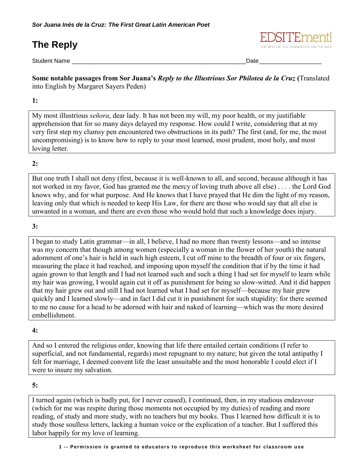# **The Reply**



Student Name \_\_\_\_\_\_\_\_\_\_\_\_\_\_\_\_\_\_\_\_\_\_\_\_\_\_\_\_\_\_\_\_\_\_\_\_\_\_\_\_\_\_\_\_\_\_\_\_\_\_\_\_\_Date\_\_\_\_\_\_\_\_\_\_\_\_\_\_\_\_\_\_\_

**Some notable passages from Sor Juana's** *Reply to the Illustrious Sor Philotea de la Cruz* **(**Translated into English by Margaret Sayers Peden)

#### **1:**

My most illustrious *señora*, dear lady. It has not been my will, my poor health, or my justifiable apprehension that for so many days delayed my response. How could I write, considering that at my very first step my clumsy pen encountered two obstructions in its path? The first (and, for me, the most uncompromising) is to know how to reply to your most learned, most prudent, most holy, and most loving letter.

#### **2:**

But one truth I shall not deny (first, because it is well-known to all, and second, because although it has not worked in my favor, God has granted me the mercy of loving truth above all else) . . . . the Lord God knows why, and for what purpose. And He knows that I have prayed that He dim the light of my reason, leaving only that which is needed to keep His Law, for there are those who would say that all else is unwanted in a woman, and there are even those who would hold that such a knowledge does injury.

### **3:**

I began to study Latin grammar—in all, I believe, I had no more than twenty lessons—and so intense was my concern that though among women (especially a woman in the flower of her youth) the natural adornment of one's hair is held in such high esteem, I cut off mine to the breadth of four or six fingers, measuring the place it had reached, and imposing upon myself the condition that if by the time it had again grown to that length and I had not learned such and such a thing I had set for myself to learn while my hair was growing, I would again cut it off as punishment for being so slow-witted. And it did happen that my hair grew out and still I had not learned what I had set for myself—because my hair grew quickly and I learned slowly—and in fact I did cut it in punishment for such stupidity: for there seemed to me no cause for a head to be adorned with hair and naked of learning—which was the more desired embellishment.

#### **4:**

And so I entered the religious order, knowing that life there entailed certain conditions (I refer to superficial, and not fundamental, regards) most repugnant to my nature; but given the total antipathy I felt for marriage, I deemed convent life the least unsuitable and the most honorable I could elect if I were to insure my salvation.

#### **5:**

I turned again (which is badly put, for I never ceased), I continued, then, in my studious endeavour (which for me was respite during those moments not occupied by my duties) of reading and more reading, of study and more study, with no teachers but my books. Thus I learned how difficult it is to study those soulless letters, lacking a human voice or the explication of a teacher. But I suffered this labor happily for my love of learning.